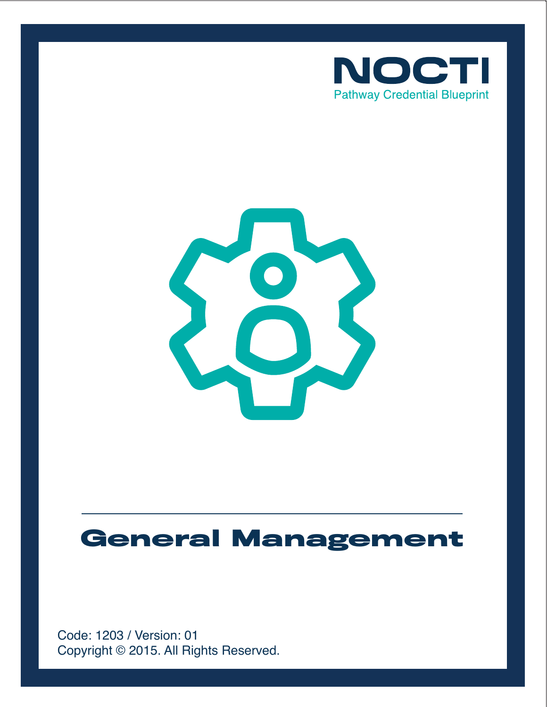



# **General Management**

Copyright © 2015. All Rights Reserved. Code: 1203 / Version: 01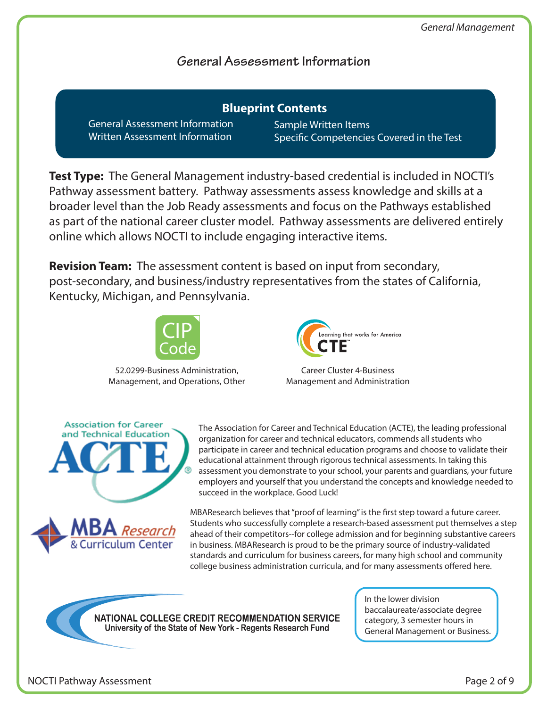## **General Assessment Information**

General Assessment Information Written Assessment Information **Blueprint Contents**

Sample Written Items Specific Competencies Covered in the Test

**Test Type:** The General Management industry-based credential is included in NOCTI's Pathway assessment battery. Pathway assessments assess knowledge and skills at a broader level than the Job Ready assessments and focus on the Pathways established as part of the national career cluster model. Pathway assessments are delivered entirely online which allows NOCTI to include engaging interactive items.

**Revision Team:** The assessment content is based on input from secondary, post-secondary, and business/industry representatives from the states of California, Kentucky, Michigan, and Pennsylvania.



52.0299-Business Administration, Management, and Operations, Other



Career Cluster 4-Business Management and Administration



culum Center

**Association for Career** 

The Association for Career and Technical Education (ACTE), the leading professional organization for career and technical educators, commends all students who participate in career and technical education programs and choose to validate their educational attainment through rigorous technical assessments. In taking this assessment you demonstrate to your school, your parents and guardians, your future employers and yourself that you understand the concepts and knowledge needed to succeed in the workplace. Good Luck!

MBAResearch believes that "proof of learning" is the first step toward a future career. Students who successfully complete a research-based assessment put themselves a step ahead of their competitors--for college admission and for beginning substantive careers in business. MBAResearch is proud to be the primary source of industry-validated standards and curriculum for business careers, for many high school and community college business administration curricula, and for many assessments offered here.



In the lower division baccalaureate/associate degree category, 3 semester hours in General Management or Business.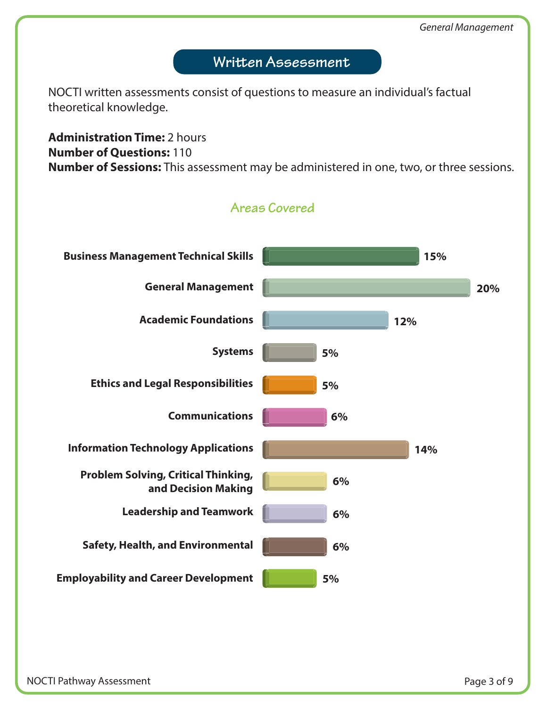# Written Assessment

NOCTI written assessments consist of questions to measure an individual's factual theoretical knowledge.

## **Administration Time:** 2 hours **Number of Questions:** 110 **Number of Sessions:** This assessment may be administered in one, two, or three sessions.

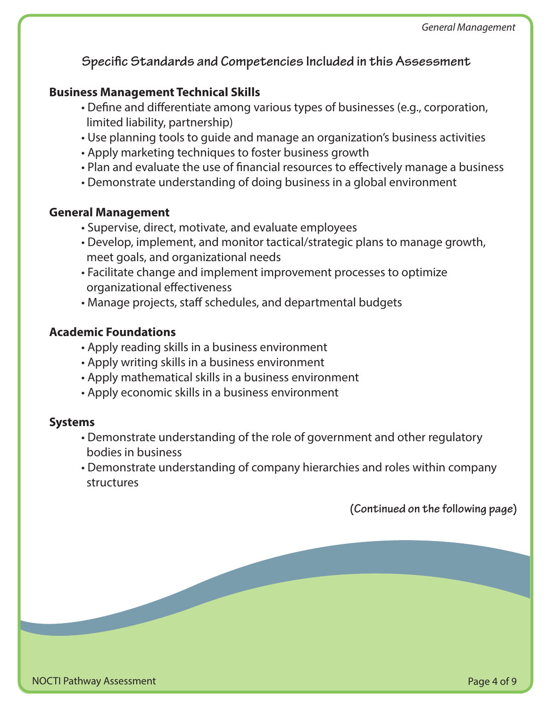**Specific Standards and Competencies Included in this Assessment** 

#### **Business Management Technical Skills**

- Define and differentiate among various types of businesses (e.g., corporation, limited liability, partnership)
- Use planning tools to guide and manage an organization's business activities
- Apply marketing techniques to foster business growth
- Plan and evaluate the use of financial resources to effectively manage a business
- Demonstrate understanding of doing business in a global environment

#### **General Management**

- Supervise, direct, motivate, and evaluate employees
- Develop, implement, and monitor tactical/strategic plans to manage growth, meet goals, and organizational needs
- Facilitate change and implement improvement processes to optimize organizational effectiveness
- Manage projects, staff schedules, and departmental budgets

## **Academic Foundations**

- Apply reading skills in a business environment
- Apply writing skills in a business environment
- Apply mathematical skills in a business environment
- Apply economic skills in a business environment

#### **Systems**

- Demonstrate understanding of the role of government and other regulatory bodies in business
- Demonstrate understanding of company hierarchies and roles within company structures

**(Continued on the following page)**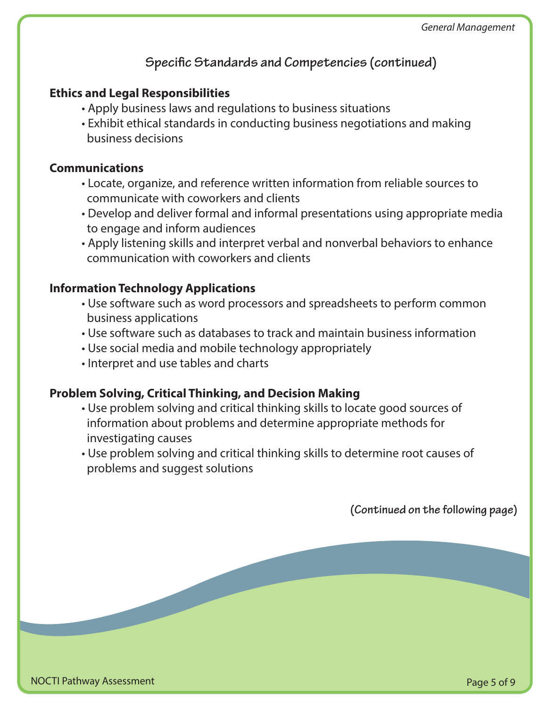# **Specific Standards and Competencies (continued)**

### **Ethics and Legal Responsibilities**

- Apply business laws and regulations to business situations
- Exhibit ethical standards in conducting business negotiations and making business decisions

#### **Communications**

- Locate, organize, and reference written information from reliable sources to communicate with coworkers and clients
- Develop and deliver formal and informal presentations using appropriate media to engage and inform audiences
- Apply listening skills and interpret verbal and nonverbal behaviors to enhance communication with coworkers and clients

#### **Information Technology Applications**

- Use software such as word processors and spreadsheets to perform common business applications
- Use software such as databases to track and maintain business information
- Use social media and mobile technology appropriately
- Interpret and use tables and charts

#### **Problem Solving, Critical Thinking, and Decision Making**

- Use problem solving and critical thinking skills to locate good sources of information about problems and determine appropriate methods for investigating causes
- Use problem solving and critical thinking skills to determine root causes of problems and suggest solutions

**(Continued on the following page)**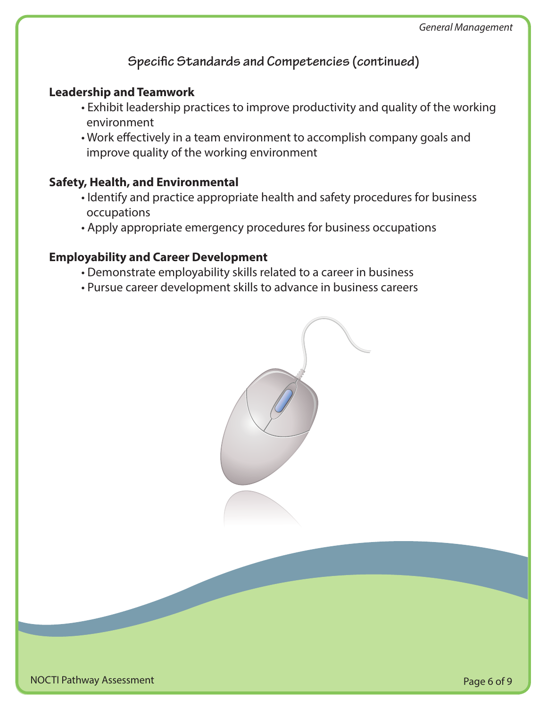## **Specific Standards and Competencies (continued)**

#### **Leadership and Teamwork**

- Exhibit leadership practices to improve productivity and quality of the working environment
- Work effectively in a team environment to accomplish company goals and improve quality of the working environment

#### **Safety, Health, and Environmental**

- Identify and practice appropriate health and safety procedures for business occupations
- Apply appropriate emergency procedures for business occupations

#### **Employability and Career Development**

- Demonstrate employability skills related to a career in business
- Pursue career development skills to advance in business careers

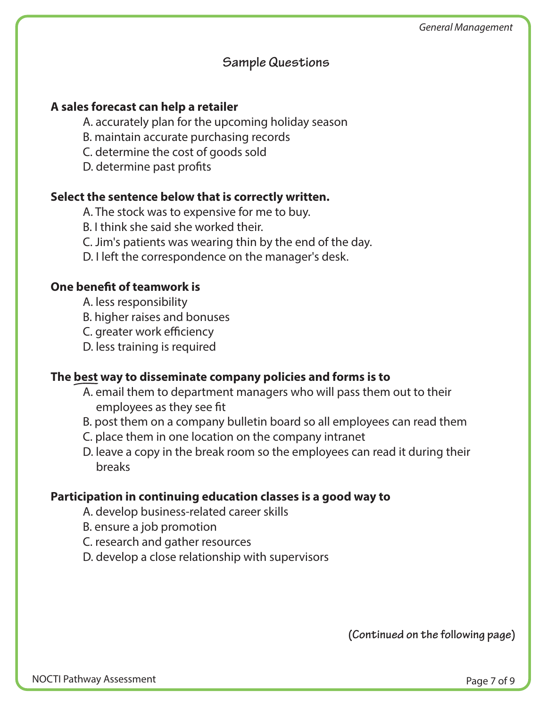#### **Sample Questions**

#### **A sales forecast can help a retailer**

- A. accurately plan for the upcoming holiday season
- B. maintain accurate purchasing records
- C. determine the cost of goods sold
- D. determine past profits

#### **Select the sentence below that is correctly written.**

- A. The stock was to expensive for me to buy.
- B. I think she said she worked their.
- C. Jim's patients was wearing thin by the end of the day.
- D. I left the correspondence on the manager's desk.

#### **One benefit of teamwork is**

- A. less responsibility
- B. higher raises and bonuses
- C. greater work efficiency
- D. less training is required

#### **The best way to disseminate company policies and forms is to**

- A. email them to department managers who will pass them out to their employees as they see fit
- B. post them on a company bulletin board so all employees can read them
- C. place them in one location on the company intranet
- D. leave a copy in the break room so the employees can read it during their breaks

#### **Participation in continuing education classes is a good way to**

- A. develop business-related career skills
- B. ensure a job promotion
- C. research and gather resources
- D. develop a close relationship with supervisors

**(Continued on the following page)**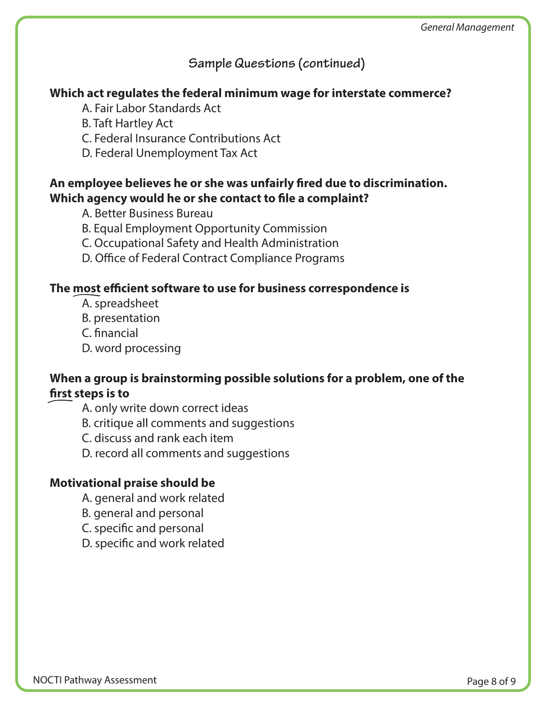# **Sample Questions (continued)**

#### **Which act regulates the federal minimum wage for interstate commerce?**

- A. Fair Labor Standards Act
- B. Taft Hartley Act
- C. Federal Insurance Contributions Act
- D. Federal Unemployment Tax Act

### An employee believes he or she was unfairly fired due to discrimination. Which agency would he or she contact to file a complaint?

- A. Better Business Bureau
- B. Equal Employment Opportunity Commission
- C. Occupational Safety and Health Administration
- D. Office of Federal Contract Compliance Programs

#### **The most ecient software to use for business correspondence is**

- A. spreadsheet
- B. presentation
- C. financial
- D. word processing

## **When a group is brainstorming possible solutions for a problem, one of the**  first steps is to

- A. only write down correct ideas
- B. critique all comments and suggestions
- C. discuss and rank each item
- D. record all comments and suggestions

## **Motivational praise should be**

- A. general and work related
- B. general and personal
- C. specific and personal
- D. specific and work related